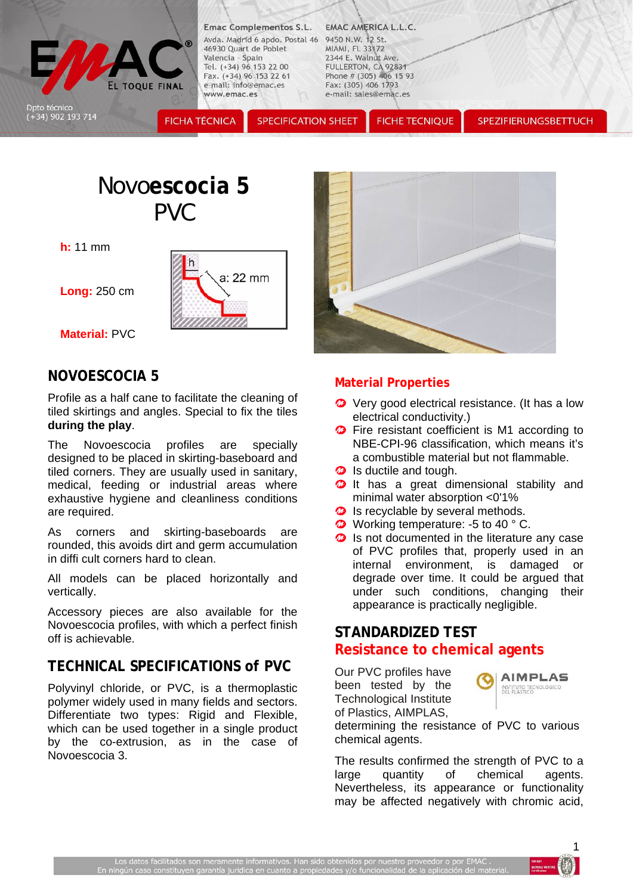

**Emac Complementos S.L.** Avda. Madrid 6 apdo. Postal 46 9450 N.W. 12 St. 46930 Quart de Poblet Valencia - Spain Tel. (+34) 96 153 22 00 Fax. (+34) 96 153 22 61 e-mail: info@emac.es www.emac.es

**SPECIFICATION SHEET** 

#### **EMAC AMERICA L.L.C.**

MIAMI, FL 33172 2344 E. Walnut Ave. FULLERTON, CA 92831 Phone #  $(305)$  406 15 93 Fax: (305) 406 1793 e-mail: sales@emac.es

**FICHE TECNIQUE** 

SPEZIFIERUNGSBETTUCH

# Novo**escocia 5**  PVC

**h:** 11 mm

**Long:** 250 cm



**Material:** PVC

### **NOVOESCOCIA 5**

Profile as a half cane to facilitate the cleaning of tiled skirtings and angles. Special to fix the tiles **during the play**.

The Novoescocia profiles are specially designed to be placed in skirting-baseboard and tiled corners. They are usually used in sanitary, medical, feeding or industrial areas where exhaustive hygiene and cleanliness conditions are required.

As corners and skirting-baseboards are rounded, this avoids dirt and germ accumulation in diffi cult corners hard to clean.

All models can be placed horizontally and vertically.

Accessory pieces are also available for the Novoescocia profiles, with which a perfect finish off is achievable.

# **TECHNICAL SPECIFICATIONS of PVC**

Polyvinyl chloride, or PVC, is a thermoplastic polymer widely used in many fields and sectors. Differentiate two types: Rigid and Flexible, which can be used together in a single product by the co-extrusion, as in the case of Novoescocia 3.



#### **Material Properties**

- **2** Very good electrical resistance. (It has a low electrical conductivity.)
- **<sup>2</sup>** Fire resistant coefficient is M1 according to NBE-CPI-96 classification, which means it's a combustible material but not flammable.
- **2** Is ductile and tough.
- **<sup>3</sup>** It has a great dimensional stability and minimal water absorption <0'1%
- **2** Is recyclable by several methods.
- **<sup>2</sup>** Working temperature: -5 to 40 ° C.
- $\boldsymbol{\Omega}$  Is not documented in the literature any case of PVC profiles that, properly used in an internal environment, is damaged or degrade over time. It could be argued that under such conditions, changing their appearance is practically negligible.

## **STANDARDIZED TEST Resistance to chemical agents**

Our PVC profiles have been tested by the Technological Institute of Plastics, AIMPLAS,



determining the resistance of PVC to various chemical agents.

The results confirmed the strength of PVC to a large quantity of chemical agents. Nevertheless, its appearance or functionality may be affected negatively with chromic acid,